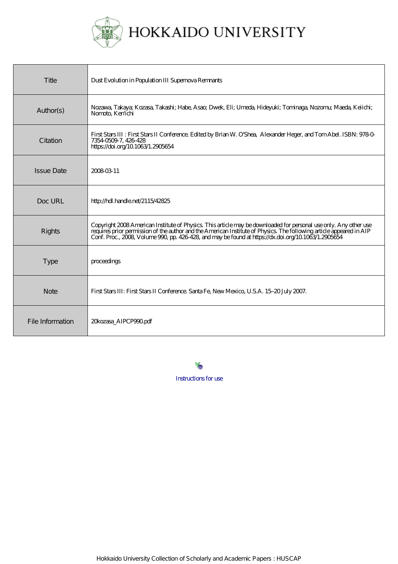

# HOKKAIDO UNIVERSITY

| Title             | Dust Evolution in Population III Supernova Remnants                                                                                                                                                                                                                                                                                               |
|-------------------|---------------------------------------------------------------------------------------------------------------------------------------------------------------------------------------------------------------------------------------------------------------------------------------------------------------------------------------------------|
| Author(s)         | Nozawa, Takaya; Kozasa, Takashi; Habe, Asao; Dwek, Eli; Umeda, Hideyuki; Tominaga, Nozomu; Maeda, Keiichi;<br>Nomoto, Ken'ichi                                                                                                                                                                                                                    |
| Citation          | First Stars III : First Stars II Conference. Edited by Brian W. O'Shea, Alexander Heger, and Tom Abel. ISBN: 9780<br>735405097, 426428<br>https://doi.org/10.1063/1.2905654                                                                                                                                                                       |
| <b>Issue Date</b> | 20080311                                                                                                                                                                                                                                                                                                                                          |
| Doc URL           | http://hdl.handle.net/2115/42825                                                                                                                                                                                                                                                                                                                  |
| Rights            | Copyright 2008 American Institute of Physics. This article may be downloaded for personal use only. Any other use<br>requires prior permission of the author and the American Institute of Physics. The following article appeared in AIP<br>Conf. Proc., 2008, Volume 990, pp. 426-428, and may be found at https://dx.doi.org/10.1083/1.2905654 |
| <b>Type</b>       | proceedings                                                                                                                                                                                                                                                                                                                                       |
| <b>Note</b>       | First Stars III: First Stars II Conference. Santa Fe, New Mexico, U.S.A. 15-20 July 2007.                                                                                                                                                                                                                                                         |
| File Information  | 20kozasa_AIPCP990.pdf                                                                                                                                                                                                                                                                                                                             |

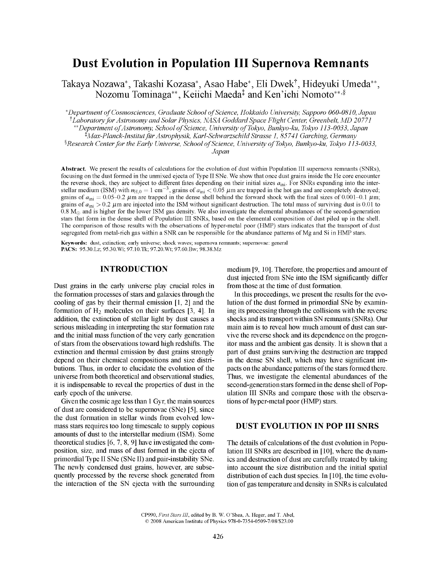# **Dust Evolution in Population III Supernova Remnants**

Takaya Nozawa\*, Takashi Kozasa\*, Asao Habe\*, Eli Dwek^, Hideyuki Umeda\*\*, Nozomu Tominaga\*\*, Keiichi Maeda<sup>‡</sup> and Ken'ichi Nomoto\*\*<sup>,§</sup>

*\* Department of Cosmosciences, Graduate School of Science, Hokkaido University, Sapporo 060-0810, Japan "^ Laboratory for Astronomy and Solar Physics, NASA Goddard Space Flight Center, GreenbeU, MD 20771 \*\* Department of Astronomy, School of Science, University of Tokyo, Bunkyo-ku, Tokyo 113-0033, Japan ^Max-Planck-InstitutftirAstrophysik, Karl-SchwarzschildStrasse 1, 85741 Garching, Germany* 

*'^Research Center for the Early Universe, School of Science, University of Tokyo, Bunkyo-ku, Tokyo 113-0033,* 

*Japan* 

Abstract. We present the results of calculations for the evolution of dust within Population III supernova remnants (SNRs), focusing on the dust formed in the unmixed ejecta of Type II SNe. We show that once dust grains inside the He core encounter the reverse shock, they are subject to different fates depending on their initial sizes  $a_{\text{ini}}$ . For SNRs expanding into the interstellar medium (ISM) with  $n_{\text{H},0} = 1 \text{ cm}^{-3}$ , grains of  $a_{\text{ini}} < 0.05 \mu \text{m}$  are trapped in the hot gas and are completely destroyed; grains of  $a_{\text{ini}} = 0.05-0.2 \ \mu \text{m}$  are trapped in the dense shell behind the forward shock with the final sizes of 0.001-0.1  $\mu$ m; grains of  $a_{\rm ini} > 0.2$   $\mu$ m are injected into the ISM without significant destruction. The total mass of surviving dust is 0.01 to  $0.8 M_{\odot}$  and is higher for the lower ISM gas density. We also investigate the elemental abundances of the second-generation stars that form in the dense shell of Population III SNRs, based on the elemental composition of dust piled up in the shell. The comparison of those results with the observations of hyper-metal poor (HMP) stars indicates that the transport of dust segregated from metal-rich gas within a SNR can be responsible for the abundance patterns of Mg and Si in HMP stars.

**Keywords:** dust, extinction; early universe; shock waves; supernova remnants; supemovae: general PACS: 95.30.Lz; 95.30.Wi; [97.10.Tk;](97.10.Tk) 97.20.Wt; 97.60.Bw; 98.38.Mz

#### INTRODUCTION

Dust grains in the early universe play crucial roles in the formation processes of stars and galaxies through the cooling of gas by their thermal emission [1,2] and the formation of  $H_2$  molecules on their surfaces [3, 4]. In addition, the extinction of stellar light by dust causes a serious misleading in interpreting the star formation rate and the initial mass function of the very early generation of stars from the observations toward high redshifts. The extinction and thermal emission by dust grains strongly depend on their chemical compositions and size distributions. Thus, in order to elucidate the evolution of the universe from both theoretical and observational studies, it is indispensable to reveal the properties of dust in the early epoch of the universe.

Given the cosmic age less than 1 Gyr, the main sources of dust are considered to be supemovae (SNe) [5], since the dust formation in stellar winds from evolved lowmass stars requires too long timescale to supply copious amounts of dust to the interstellar medium (ISM). Some theoretical studies [6, 7, 8, 9] have investigated the composition, size, and mass of dust formed in the ejecta of primordial Type II SNe (SNe II) and pair-instability SNe. The newly condensed dust grains, however, are subsequently processed by the reverse shock generated from the interaction of the SN ejecta with the surrounding medium [9, 10]. Therefore, the properties and amount of dust injected from SNe into the ISM significantly differ from those at the time of dust formation.

In this proceedings, we present the results for the evolution of the dust formed in primordial SNe by examining its processing through the collisions with the reverse shocks and its transport within SN remnants (SNRs). Our main aim is to reveal how much amount of dust can survive the reverse shock and its dependence on the progenitor mass and the ambient gas density. It is shown that a part of dust grains surviving the destruction are trapped in the dense SN shell, which may have significant impacts on the abundance patterns of the stars formed there. Thus, we investigate the elemental abundances of the second-generation stars formed in the dense shell of Population III SNRs and compare those with the observations of hyper-metal poor (HMP) stars.

## DUST EVOLUTION IN POP III SNRS

The details of calculations of the dust evolution in Population III SNRs are described in [10], where the dynamics and destruction of dust are carefully treated by taking into account the size distribution and the initial spatial distribution of each dust species. In [10], the time evolution of gas temperature and density in SNRs is calculated

CP990, *First Stars III,* edited by B. W. O'Shea, A. Heger, and T. Abel, © 2008 American Institute of Physics 978-0-7354-0509-7/08/\$23.00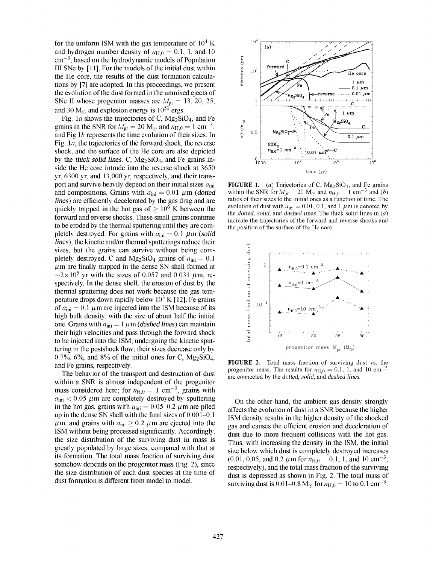for the uniform ISM with the gas temperature of  $10^4$  K and hydrogen number density of  $n_{H,0} = 0.1$ , 1, and 10  $\text{cm}^{-3}$ , based on the hydrodynamic models of Population 111 SNe by [11]. For the models of the initial dust within the He core, the results of the dust formation calculations by [7] are adopted. In this proceedings, we present the evolution of the dust formed in the unmixed ejecta of SNe II whose progenitor masses are  $M_{\text{pr}} = 13, 20, 25,$ and 30  $M_{\odot}$  and explosion energy is  $10^{51}$  ergs.

Fig. 1a shows the trajectories of C,  $Mg_2SiO_4$ , and Fe grains in the SNR for  $M_{\text{pr}} = 20 \text{ M}_{\odot}$  and  $n_{\text{H},0} = 1 \text{ cm}^{-3}$ , and Fig *lb* represents the time evolution of their sizes. In Fig. la, the trajectories of the forward shock, the reverse shock, and the surface of the He core are also depicted by the *thick solid lines.* C,  $Mg_2SiO_4$ , and Fe grains inside the He core intrude into the reverse shock at 3650 yr, 6300 yr, and 13,000 yr, respectively, and their transport and survive heavily depend on their initial sizes  $a_{\text{ini}}$ and compositions. Grains with  $a_{\text{ini}} = 0.01 \ \mu \text{m}$  (dotted *lines)* are efficiently decelerated by the gas drag and are quickly trapped in the hot gas of  $> 10^6$  K between the forward and reverse shocks. These small grains continue to be eroded by the thermal sputtering until they are completely destroyed. For grains with  $a_{\text{ini}} = 0.1 \ \mu \text{m}$  (solid *lines),* the kinetic and/or thermal sputterings reduce their sizes, but the grains can survive without being completely destroyed. C and Mg<sub>2</sub>SiO<sub>4</sub> grains of  $a_{\text{ini}} = 0.1$  $\mu$ m are finally trapped in the dense SN shell formed at  $\sim$ 2×10<sup>5</sup> yr with the sizes of 0.057 and 0.031  $\mu$ m, respectively. In the dense shell, the erosion of dust by the thermal sputtering does not work because the gas temperature drops down rapidly below  $10^5$  K [12]. Fe grains of  $a_{\text{ini}} = 0.1 \mu \text{m}$  are injected into the ISM because of its high bulk density, with the size of about half the initial one. Grains with  $a_{\text{ini}} = 1 \ \mu \text{m}$  (dashed lines) can maintain their high velocities and pass through the forward shock to be injected into the ISM, undergoing the kinetic sputtering in the postshock flow; their sizes decrease only by 0.7%, 6%, and 8% of the initial ones for C,  $Mg_2SiO_4$ , and Fe grains, respectively.

The behavior of the transport and destruction of dust within a SNR is almost independent of the progenitor mass considered here; for  $n_{\text{H},0} = 1 \text{ cm}^{-3}$ , grains with  $a_{\rm ini}$  < 0.05  $\mu$ m are completely destroyed by sputtering in the hot gas, grains with  $a_{\text{ini}} = 0.05{\text -}0.2 \ \mu \text{m}$  are piled up in the dense SN shell with the final sizes of  $0.001-0.1$  $\mu$ m, and grains with  $a_{\text{ini}} \geq 0.2 \mu$ m are ejected into the ISM without being processed significantly. Accordingly, the size distribution of the surviving dust in mass is greatly populated by large sizes, compared with that at its formation. The total mass fraction of surviving dust somehow depends on the progenitor mass (Fig. 2), since the size distribution of each dust species at the time of dust formation is different from model to model.



FIGURE 1. (a) Trajectories of C, Mg<sub>2</sub>SiO<sub>4</sub>, and Fe grains within the SNR for  $M_{\text{pr}} = 20 \text{ M}_{\odot}$  and  $n_{\text{H},0} = 1 \text{ cm}^{-3}$  and *(b)* ratios of their sizes to the initial ones as a function of time. The evolution of dust with  $a_{\text{ini}} = 0.01, 0.1$ , and 1  $\mu$ m is denoted by the *dotted, solid,* and *dashed lines.* The thick solid lines in *(a)*  indicate the trajectories of the forward and reverse shocks and the position of the surface of the He core.



FIGURE 2. Total mass fraction of surviving dust vs. the progenitor mass. The results for  $n_{H,0} = 0.1$ , 1, and 10 cm<sup>-3</sup> are connected by the *dotted, solid,* and *dashed lines.* 

On the other hand, the ambient gas density strongly affects the evolution of dust in a SNR because the higher ISM density results in the higher density of the shocked gas and causes the efficient erosion and deceleration of dust due to more frequent collisions with the hot gas. Thus, with increasing the density in the ISM, the initial size below which dust is completely destroyed increases  $(0.01, 0.05,$  and 0.2  $\mu$ m for  $n_{H,0} = 0.1, 1$ , and 10 cm<sup>-3</sup>, respectively), and the total mass fraction of the surviving dust is depressed as shown in Fig. 2. The total mass of surviving dust is 0.01–0.8 M<sub> $\odot$ </sub> for  $n_{\rm H,0} = 10$  to 0.1 cm<sup>-3</sup>.